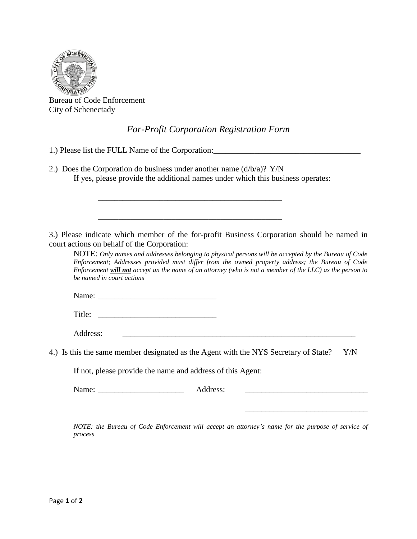

Bureau of Code Enforcement City of Schenectady

## *For-Profit Corporation Registration Form*

- 1.) Please list the FULL Name of the Corporation:
- 2.) Does the Corporation do business under another name  $(d/b/a)$ ?  $Y/N$ If yes, please provide the additional names under which this business operates:

\_\_\_\_\_\_\_\_\_\_\_\_\_\_\_\_\_\_\_\_\_\_\_\_\_\_\_\_\_\_\_\_\_\_\_\_\_\_\_\_\_\_\_\_\_

\_\_\_\_\_\_\_\_\_\_\_\_\_\_\_\_\_\_\_\_\_\_\_\_\_\_\_\_\_\_\_\_\_\_\_\_\_\_\_\_\_\_\_\_\_

3.) Please indicate which member of the for-profit Business Corporation should be named in court actions on behalf of the Corporation:

NOTE: *Only names and addresses belonging to physical persons will be accepted by the Bureau of Code Enforcement; Addresses provided must differ from the owned property address; the Bureau of Code Enforcement will not accept an the name of an attorney (who is not a member of the LLC) as the person to be named in court actions*

Name: \_\_\_\_\_\_\_\_\_\_\_\_\_\_\_\_\_\_\_\_\_\_\_\_\_\_\_\_\_

Title: \_\_\_\_\_\_\_\_\_\_\_\_\_\_\_\_\_\_\_\_\_\_\_\_\_\_\_\_\_

Address:

4.) Is this the same member designated as the Agent with the NYS Secretary of State? Y/N

If not, please provide the name and address of this Agent:

Name: \_\_\_\_\_\_\_\_\_\_\_\_\_\_\_\_\_\_\_\_\_ Address: \_\_\_\_\_\_\_\_\_\_\_\_\_\_\_\_\_\_\_\_\_\_\_\_\_\_\_\_\_\_

*NOTE: the Bureau of Code Enforcement will accept an attorney's name for the purpose of service of process*

\_\_\_\_\_\_\_\_\_\_\_\_\_\_\_\_\_\_\_\_\_\_\_\_\_\_\_\_\_\_